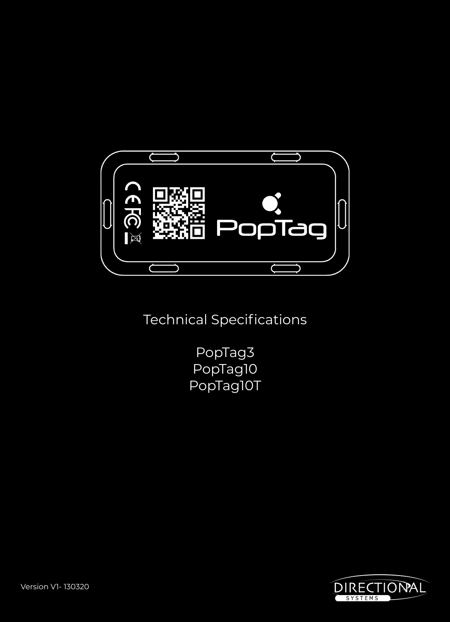

Technical Specifications

PopTag3 PopTag10 PopTag10T

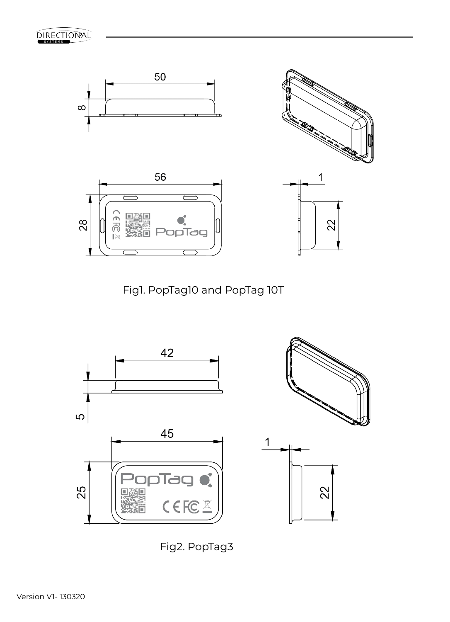





Fig2. PopTag3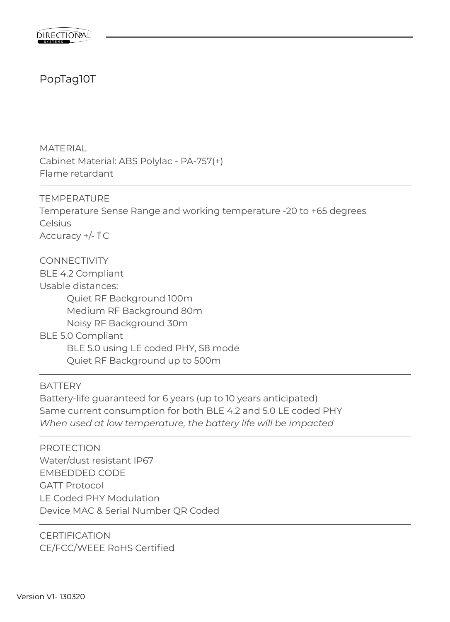# PopTag10T

MATERIAL Cabinet Material: ABS Polylac - PA-757(+) Flame retardant

TEMPERATURE Temperature Sense Range and working temperature -20 to +65 degrees **Celsius** Accuracy +/-  $\uparrow$  C

CONNECTIVITY BLE 4.2 Compliant Usable distances: Quiet RF Background 100m Medium RF Background 80m Noisy RF Background 30m BLE 5.0 Compliant BLE 5.0 using LE coded PHY, S8 mode Quiet RF Background up to 500m

**BATTERY** 

Battery-life guaranteed for 6 years (up to 10 years anticipated) Same current consumption for both BLE 4.2 and 5.0 LE coded PHY *When used at low temperature, the battery life will be impacted*

PROTECTION Water/dust resistant IP67 EMBEDDED CODE GATT Protocol LE Coded PHY Modulation Device MAC & Serial Number QR Coded

**CERTIFICATION** CE/FCC/WEEE RoHS Certified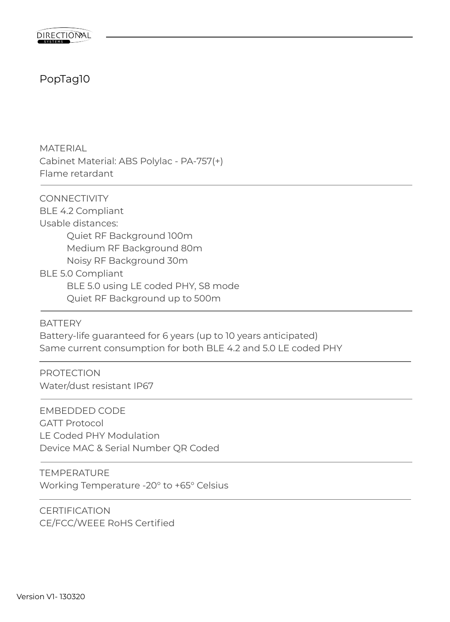## PopTag10

MATERIAL Cabinet Material: ABS Polylac - PA-757(+) Flame retardant

CONNECTIVITY BLE 4.2 Compliant Usable distances: Quiet RF Background 100m Medium RF Background 80m Noisy RF Background 30m BLE 5.0 Compliant BLE 5.0 using LE coded PHY, S8 mode Quiet RF Background up to 500m

BATTERY Battery-life guaranteed for 6 years (up to 10 years anticipated) Same current consumption for both BLE 4.2 and 5.0 LE coded PHY

PROTECTION Water/dust resistant IP67

EMBEDDED CODE GATT Protocol LE Coded PHY Modulation Device MAC & Serial Number QR Coded

TEMPERATURE Working Temperature -20° to +65° Celsius

**CERTIFICATION** CE/FCC/WEEE RoHS Certified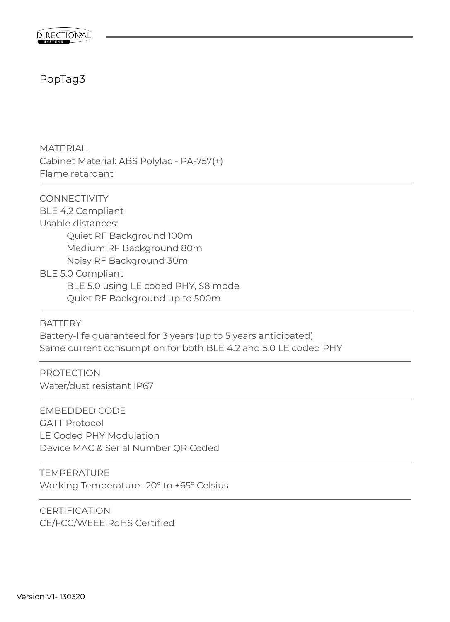

#### PopTag3

MATERIAL Cabinet Material: ABS Polylac - PA-757(+) Flame retardant

CONNECTIVITY BLE 4.2 Compliant Usable distances: Quiet RF Background 100m Medium RF Background 80m Noisy RF Background 30m BLE 5.0 Compliant BLE 5.0 using LE coded PHY, S8 mode Quiet RF Background up to 500m

BATTERY Battery-life guaranteed for 3 years (up to 5 years anticipated) Same current consumption for both BLE 4.2 and 5.0 LE coded PHY

PROTECTION Water/dust resistant IP67

EMBEDDED CODE GATT Protocol LE Coded PHY Modulation Device MAC & Serial Number QR Coded

TEMPERATURE Working Temperature -20° to +65° Celsius

**CERTIFICATION** CE/FCC/WEEE RoHS Certified